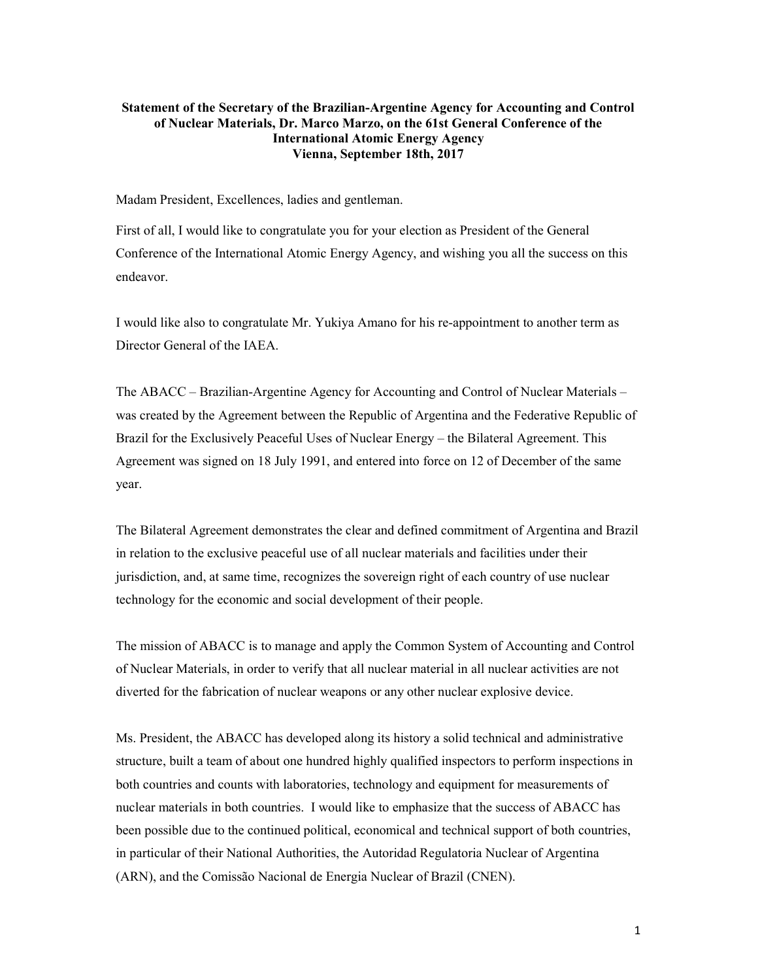## Statement of the Secretary of the Brazilian-Argentine Agency for Accounting and Control of Nuclear Materials, Dr. Marco Marzo, on the 61st General Conference of the International Atomic Energy Agency Vienna, September 18th, 2017

Madam President, Excellences, ladies and gentleman.

First of all, I would like to congratulate you for your election as President of the General Conference of the International Atomic Energy Agency, and wishing you all the success on this endeavor.

I would like also to congratulate Mr. Yukiya Amano for his re-appointment to another term as Director General of the IAEA.

The ABACC – Brazilian-Argentine Agency for Accounting and Control of Nuclear Materials – was created by the Agreement between the Republic of Argentina and the Federative Republic of Brazil for the Exclusively Peaceful Uses of Nuclear Energy – the Bilateral Agreement. This Agreement was signed on 18 July 1991, and entered into force on 12 of December of the same year.

The Bilateral Agreement demonstrates the clear and defined commitment of Argentina and Brazil in relation to the exclusive peaceful use of all nuclear materials and facilities under their jurisdiction, and, at same time, recognizes the sovereign right of each country of use nuclear technology for the economic and social development of their people.

The mission of ABACC is to manage and apply the Common System of Accounting and Control of Nuclear Materials, in order to verify that all nuclear material in all nuclear activities are not diverted for the fabrication of nuclear weapons or any other nuclear explosive device.

Ms. President, the ABACC has developed along its history a solid technical and administrative structure, built a team of about one hundred highly qualified inspectors to perform inspections in both countries and counts with laboratories, technology and equipment for measurements of nuclear materials in both countries. I would like to emphasize that the success of ABACC has been possible due to the continued political, economical and technical support of both countries, in particular of their National Authorities, the Autoridad Regulatoria Nuclear of Argentina (ARN), and the Comissão Nacional de Energia Nuclear of Brazil (CNEN).